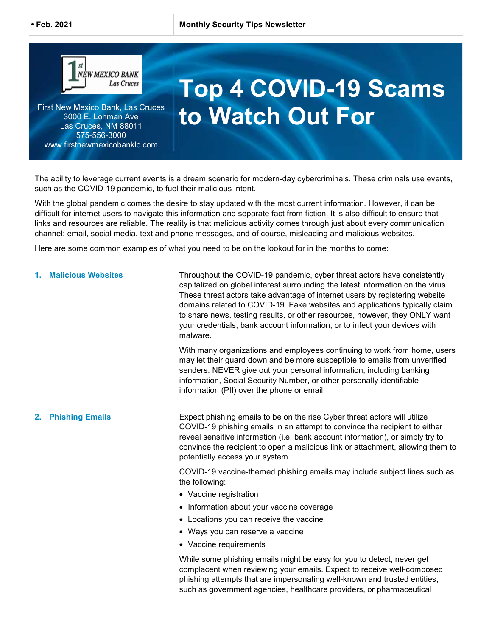

First New Mexico Bank, Las Cruces 3000 E. Lohman Ave Las Cruces, NM 88011 575-556-3000 www.firstnewmexicobanklc.com

## Top 4 COVID-19 Scams to Watch Out For

The ability to leverage current events is a dream scenario for modern-day cybercriminals. These criminals use events, such as the COVID-19 pandemic, to fuel their malicious intent.

With the global pandemic comes the desire to stay updated with the most current information. However, it can be difficult for internet users to navigate this information and separate fact from fiction. It is also difficult to ensure that links and resources are reliable. The reality is that malicious activity comes through just about every communication channel: email, social media, text and phone messages, and of course, misleading and malicious websites.

Here are some common examples of what you need to be on the lookout for in the months to come:

| 1. Malicious Websites | Throughout the COVID-19 pandemic, cyber threat actors have consistently<br>capitalized on global interest surrounding the latest information on the virus.<br>These threat actors take advantage of internet users by registering website<br>domains related to COVID-19. Fake websites and applications typically claim<br>to share news, testing results, or other resources, however, they ONLY want<br>your credentials, bank account information, or to infect your devices with<br>malware. |
|-----------------------|---------------------------------------------------------------------------------------------------------------------------------------------------------------------------------------------------------------------------------------------------------------------------------------------------------------------------------------------------------------------------------------------------------------------------------------------------------------------------------------------------|
|                       | With many organizations and employees continuing to work from home, users<br>may let their guard down and be more susceptible to emails from unverified<br>senders. NEVER give out your personal information, including banking<br>information, Social Security Number, or other personally identifiable<br>information (PII) over the phone or email.                                                                                                                                            |
| 2. Phishing Emails    | Expect phishing emails to be on the rise Cyber threat actors will utilize<br>COVID-19 phishing emails in an attempt to convince the recipient to either<br>reveal sensitive information (i.e. bank account information), or simply try to<br>convince the recipient to open a malicious link or attachment, allowing them to<br>potentially access your system.                                                                                                                                   |
|                       | COVID-19 vaccine-themed phishing emails may include subject lines such as<br>the following:                                                                                                                                                                                                                                                                                                                                                                                                       |
|                       | • Vaccine registration                                                                                                                                                                                                                                                                                                                                                                                                                                                                            |
|                       | • Information about your vaccine coverage                                                                                                                                                                                                                                                                                                                                                                                                                                                         |
|                       | • Locations you can receive the vaccine                                                                                                                                                                                                                                                                                                                                                                                                                                                           |
|                       | • Ways you can reserve a vaccine                                                                                                                                                                                                                                                                                                                                                                                                                                                                  |
|                       | $\mathbf{v}$ and $\mathbf{v}$ and $\mathbf{v}$ and $\mathbf{v}$ and $\mathbf{v}$ and $\mathbf{v}$ and $\mathbf{v}$ and $\mathbf{v}$ and $\mathbf{v}$ and $\mathbf{v}$ and $\mathbf{v}$ and $\mathbf{v}$ and $\mathbf{v}$ and $\mathbf{v}$ and $\mathbf{v}$ and $\mathbf{v}$ and $\mathbf{v}$ and                                                                                                                                                                                                  |

Vaccine requirements

While some phishing emails might be easy for you to detect, never get complacent when reviewing your emails. Expect to receive well-composed phishing attempts that are impersonating well-known and trusted entities, such as government agencies, healthcare providers, or pharmaceutical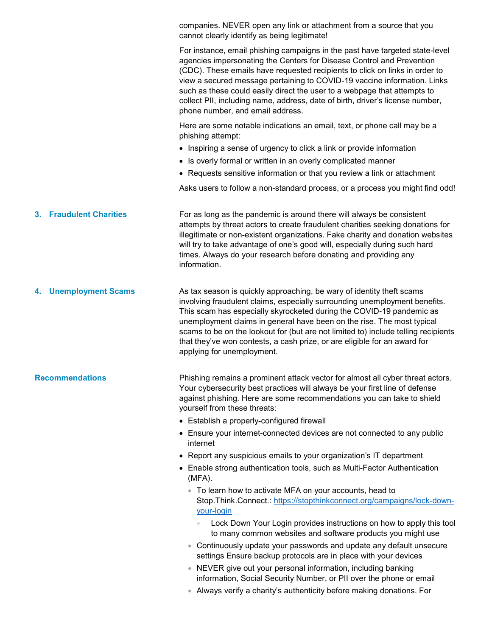companies. NEVER open any link or attachment from a source that you cannot clearly identify as being legitimate!

For instance, email phishing campaigns in the past have targeted state-level agencies impersonating the Centers for Disease Control and Prevention (CDC). These emails have requested recipients to click on links in order to view a secured message pertaining to COVID-19 vaccine information. Links such as these could easily direct the user to a webpage that attempts to collect PII, including name, address, date of birth, driver's license number, phone number, and email address.

Here are some notable indications an email, text, or phone call may be a phishing attempt:

- Inspiring a sense of urgency to click a link or provide information
- Is overly formal or written in an overly complicated manner
- Requests sensitive information or that you review a link or attachment

Asks users to follow a non-standard process, or a process you might find odd!

3. Fraudulent Charities **For as long as the pandemic is around there will always be consistent** attempts by threat actors to create fraudulent charities seeking donations for illegitimate or non-existent organizations. Fake charity and donation websites will try to take advantage of one's good will, especially during such hard times. Always do your research before donating and providing any information.

4. Unemployment Scams As tax season is quickly approaching, be wary of identity theft scams involving fraudulent claims, especially surrounding unemployment benefits. This scam has especially skyrocketed during the COVID-19 pandemic as unemployment claims in general have been on the rise. The most typical scams to be on the lookout for (but are not limited to) include telling recipients that they've won contests, a cash prize, or are eligible for an award for applying for unemployment.

Recommendations Phishing remains a prominent attack vector for almost all cyber threat actors. Your cybersecurity best practices will always be your first line of defense against phishing. Here are some recommendations you can take to shield yourself from these threats:

- Establish a properly-configured firewall
- Ensure your internet-connected devices are not connected to any public internet
- Report any suspicious emails to your organization's IT department
- Enable strong authentication tools, such as Multi-Factor Authentication (MFA).
	- To learn how to activate MFA on your accounts, head to Stop.Think.Connect.: https://stopthinkconnect.org/campaigns/lock-downyour-login
		- Lock Down Your Login provides instructions on how to apply this tool to many common websites and software products you might use
	- Continuously update your passwords and update any default unsecure settings Ensure backup protocols are in place with your devices
	- NEVER give out your personal information, including banking information, Social Security Number, or PII over the phone or email
	- Always verify a charity's authenticity before making donations. For